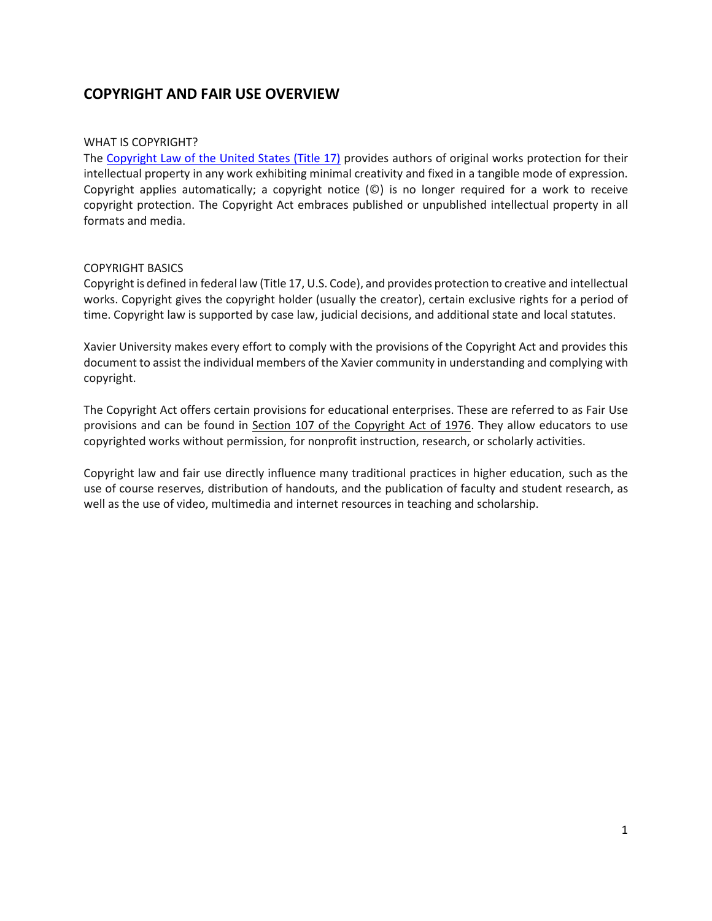# **COPYRIGHT AND FAIR USE OVERVIEW**

#### WHAT IS COPYRIGHT?

The Copyright [Law of the United States \(Title 17\)](https://www.copyright.gov/title17/) provides authors of original works protection for their intellectual property in any work exhibiting minimal creativity and fixed in a tangible mode of expression. Copyright applies automatically; a copyright notice (©) is no longer required for a work to receive copyright protection. The Copyright Act embraces published or unpublished intellectual property in all formats and media.

#### COPYRIGHT BASICS

Copyright is defined in federal law (Title 17, U.S. Code), and provides protection to creative and intellectual works. Copyright gives the copyright holder (usually the creator), certain exclusive rights for a period of time. Copyright law is supported by case law, judicial decisions, and additional state and local statutes.

Xavier University makes every effort to comply with the provisions of the Copyright Act and provides this document to assist the individual members of the Xavier community in understanding and complying with copyright.

The Copyright Act offers certain provisions for educational enterprises. These are referred to as Fair Use provisions and can be found in [Section 107 of the Copyright Act of 1976.](http://www.copyright.gov/title17/92chap1.html#107) They allow educators to use copyrighted works without permission, for nonprofit instruction, research, or scholarly activities.

Copyright law and fair use directly influence many traditional practices in higher education, such as the use of course reserves, distribution of handouts, and the publication of faculty and student research, as well as the use of video, multimedia and internet resources in teaching and scholarship.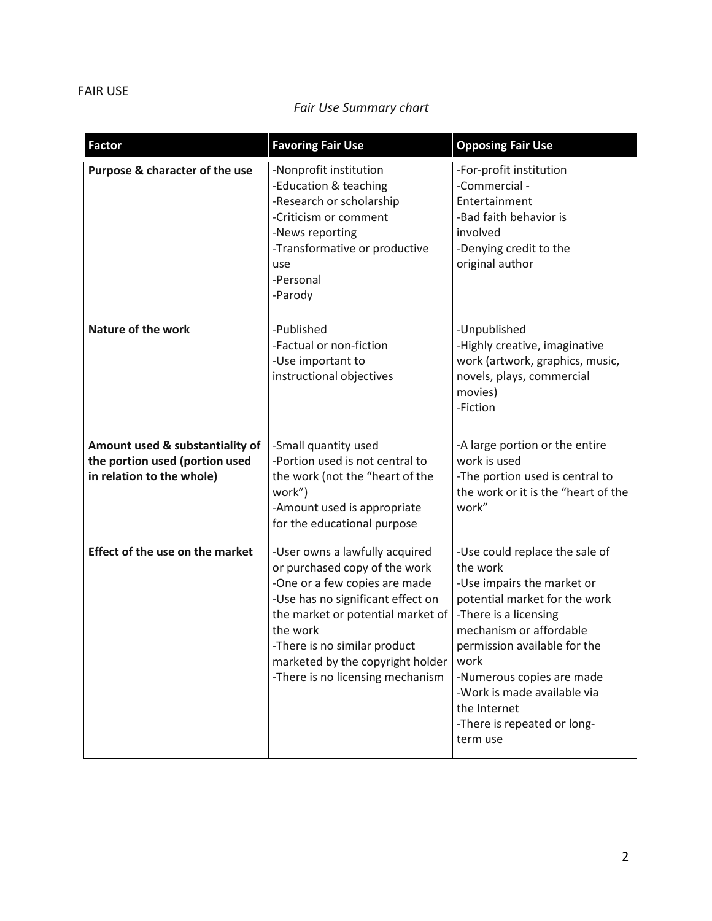### FAIR USE

## *Fair Use Summary chart*

| <b>Factor</b>                                                                                  | <b>Favoring Fair Use</b>                                                                                                                                                                                                                                                                       | <b>Opposing Fair Use</b>                                                                                                                                                                                                                                                                                                     |
|------------------------------------------------------------------------------------------------|------------------------------------------------------------------------------------------------------------------------------------------------------------------------------------------------------------------------------------------------------------------------------------------------|------------------------------------------------------------------------------------------------------------------------------------------------------------------------------------------------------------------------------------------------------------------------------------------------------------------------------|
| Purpose & character of the use                                                                 | -Nonprofit institution<br>-Education & teaching<br>-Research or scholarship<br>-Criticism or comment<br>-News reporting<br>-Transformative or productive<br>use<br>-Personal<br>-Parody                                                                                                        | -For-profit institution<br>-Commercial -<br>Entertainment<br>-Bad faith behavior is<br>involved<br>-Denying credit to the<br>original author                                                                                                                                                                                 |
| <b>Nature of the work</b>                                                                      | -Published<br>-Factual or non-fiction<br>-Use important to<br>instructional objectives                                                                                                                                                                                                         | -Unpublished<br>-Highly creative, imaginative<br>work (artwork, graphics, music,<br>novels, plays, commercial<br>movies)<br>-Fiction                                                                                                                                                                                         |
| Amount used & substantiality of<br>the portion used (portion used<br>in relation to the whole) | -Small quantity used<br>-Portion used is not central to<br>the work (not the "heart of the<br>work")<br>-Amount used is appropriate<br>for the educational purpose                                                                                                                             | -A large portion or the entire<br>work is used<br>-The portion used is central to<br>the work or it is the "heart of the<br>work"                                                                                                                                                                                            |
| <b>Effect of the use on the market</b>                                                         | -User owns a lawfully acquired<br>or purchased copy of the work<br>-One or a few copies are made<br>-Use has no significant effect on<br>the market or potential market of<br>the work<br>-There is no similar product<br>marketed by the copyright holder<br>-There is no licensing mechanism | -Use could replace the sale of<br>the work<br>-Use impairs the market or<br>potential market for the work<br>-There is a licensing<br>mechanism or affordable<br>permission available for the<br>work<br>-Numerous copies are made<br>-Work is made available via<br>the Internet<br>-There is repeated or long-<br>term use |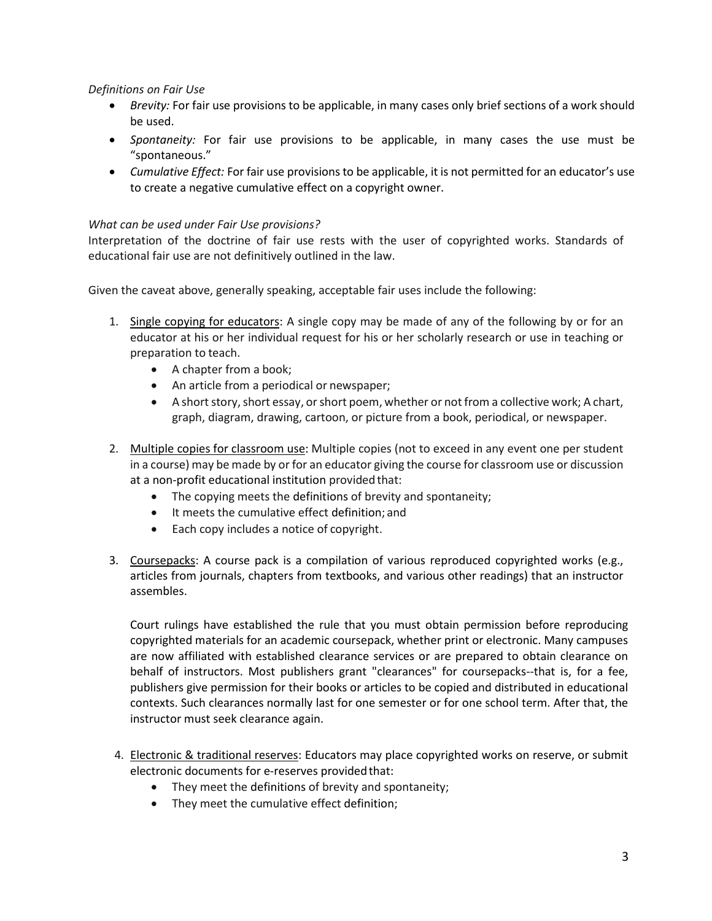*Definitions on Fair Use*

- *Brevity:* For fair use provisions to be applicable, in many cases only brief sections of a work should be used.
- *Spontaneity:* For fair use provisions to be applicable, in many cases the use must be "spontaneous."
- *Cumulative Effect:* For fair use provisions to be applicable, it is not permitted for an educator's use to create a negative cumulative effect on a copyright owner.

### *What can be used under Fair Use provisions?*

Interpretation of the doctrine of fair use rests with the user of copyrighted works. Standards of educational fair use are not definitively outlined in the law.

Given the caveat above, generally speaking, acceptable fair uses include the following:

- 1. Single copying for educators: A single copy may be made of any of the following by or for an educator at his or her individual request for his or her scholarly research or use in teaching or preparation to teach.
	- A chapter from a book;
	- An article from a periodical or newspaper;
	- A short story, short essay, or short poem, whether or not from a collective work; A chart, graph, diagram, drawing, cartoon, or picture from a book, periodical, or newspaper.
- 2. Multiple copies for classroom use: Multiple copies (not to exceed in any event one per student in a course) may be made by or for an educator giving the course for classroom use or discussion at a non-profit educational institution provided that:
	- The copying meets the definitions of brevity and spontaneity;
	- It meets the cumulative effect definition; and
	- Each copy includes a notice of copyright.
- 3. Coursepacks: A course pack is a compilation of various reproduced copyrighted works (e.g., articles from journals, chapters from textbooks, and various other readings) that an instructor assembles.

Court rulings have established the rule that you must obtain permission before reproducing copyrighted materials for an academic coursepack, whether print or electronic. Many campuses are now affiliated with established clearance services or are prepared to obtain clearance on behalf of instructors. Most publishers grant "clearances" for coursepacks--that is, for a fee, publishers give permission for their books or articles to be copied and distributed in educational contexts. Such clearances normally last for one semester or for one school term. After that, the instructor must seek clearance again.

- 4. Electronic & traditional reserves: Educators may place copyrighted works on reserve, or submit electronic documents for e-reserves provided that:
	- They meet the definitions of brevity and spontaneity;
	- They meet the cumulative effect definition;